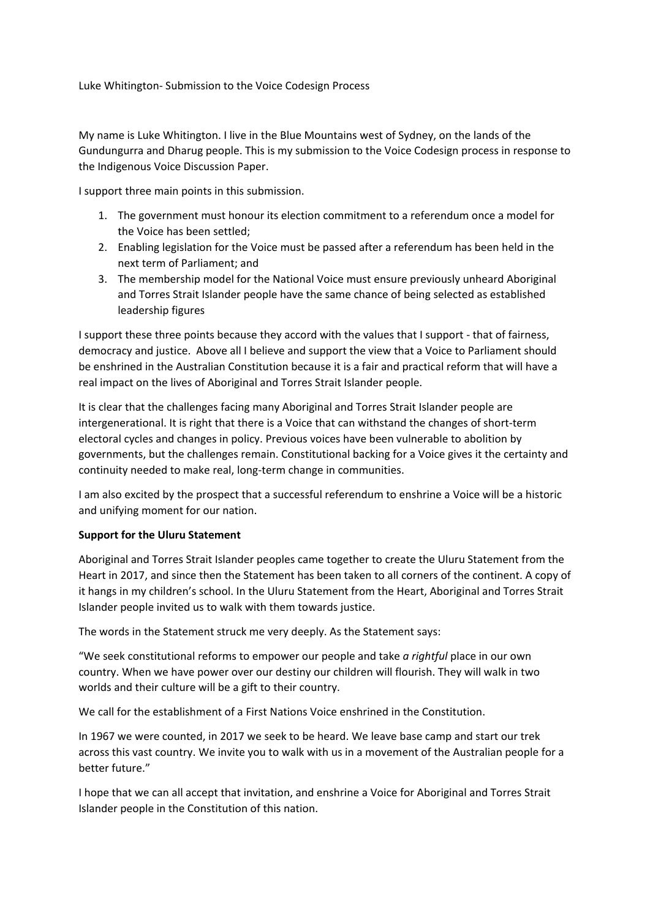Luke Whitington- Submission to the Voice Codesign Process

My name is Luke Whitington. I live in the Blue Mountains west of Sydney, on the lands of the Gundungurra and Dharug people. This is my submission to the Voice Codesign process in response to the Indigenous Voice Discussion Paper.

I support three main points in this submission.

- 1. The government must honour its election commitment to a referendum once a model for the Voice has been settled;
- 2. Enabling legislation for the Voice must be passed after a referendum has been held in the next term of Parliament; and
- 3. The membership model for the National Voice must ensure previously unheard Aboriginal and Torres Strait Islander people have the same chance of being selected as established leadership figures

I support these three points because they accord with the values that I support - that of fairness, democracy and justice. Above all I believe and support the view that a Voice to Parliament should be enshrined in the Australian Constitution because it is a fair and practical reform that will have a real impact on the lives of Aboriginal and Torres Strait Islander people.

It is clear that the challenges facing many Aboriginal and Torres Strait Islander people are intergenerational. It is right that there is a Voice that can withstand the changes of short-term electoral cycles and changes in policy. Previous voices have been vulnerable to abolition by governments, but the challenges remain. Constitutional backing for a Voice gives it the certainty and continuity needed to make real, long-term change in communities.

I am also excited by the prospect that a successful referendum to enshrine a Voice will be a historic and unifying moment for our nation.

## **Support for the Uluru Statement**

Aboriginal and Torres Strait Islander peoples came together to create the Uluru Statement from the Heart in 2017, and since then the Statement has been taken to all corners of the continent. A copy of it hangs in my children's school. In the Uluru Statement from the Heart, Aboriginal and Torres Strait Islander people invited us to walk with them towards justice.

The words in the Statement struck me very deeply. As the Statement says:

"We seek constitutional reforms to empower our people and take *a rightful* place in our own country. When we have power over our destiny our children will flourish. They will walk in two worlds and their culture will be a gift to their country.

We call for the establishment of a First Nations Voice enshrined in the Constitution.

In 1967 we were counted, in 2017 we seek to be heard. We leave base camp and start our trek across this vast country. We invite you to walk with us in a movement of the Australian people for a better future."

I hope that we can all accept that invitation, and enshrine a Voice for Aboriginal and Torres Strait Islander people in the Constitution of this nation.